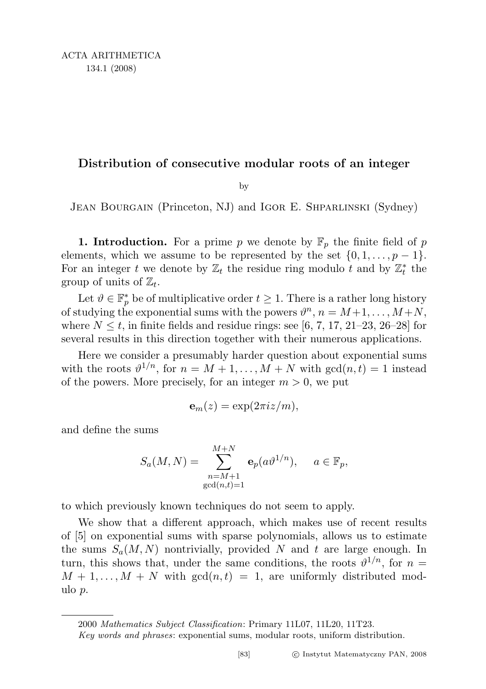## Distribution of consecutive modular roots of an integer

by

JEAN BOURGAIN (Princeton, NJ) and IGOR E. SHPARLINSKI (Sydney)

**1. Introduction.** For a prime p we denote by  $\mathbb{F}_p$  the finite field of p elements, which we assume to be represented by the set  $\{0, 1, \ldots, p-1\}$ . For an integer t we denote by  $\mathbb{Z}_t$  the residue ring modulo t and by  $\mathbb{Z}_t^*$  the group of units of  $\mathbb{Z}_t$ .

Let  $\vartheta \in \mathbb{F}_p^*$  be of multiplicative order  $t \geq 1$ . There is a rather long history of studying the exponential sums with the powers  $\vartheta^n$ ,  $n = M+1, \ldots, M+N$ , where  $N \leq t$ , in finite fields and residue rings: see [6, 7, 17, 21–23, 26–28] for several results in this direction together with their numerous applications.

Here we consider a presumably harder question about exponential sums with the roots  $\vartheta^{1/n}$ , for  $n = M + 1, ..., M + N$  with  $gcd(n, t) = 1$  instead of the powers. More precisely, for an integer  $m > 0$ , we put

$$
\mathbf{e}_m(z) = \exp(2\pi i z/m),
$$

and define the sums

$$
S_a(M, N) = \sum_{\substack{n=M+1 \ \gcd(n,t)=1}}^{M+N} \mathbf{e}_p(a\vartheta^{1/n}), \quad a \in \mathbb{F}_p,
$$

to which previously known techniques do not seem to apply.

We show that a different approach, which makes use of recent results of [5] on exponential sums with sparse polynomials, allows us to estimate the sums  $S_a(M, N)$  nontrivially, provided N and t are large enough. In turn, this shows that, under the same conditions, the roots  $\vartheta^{1/n}$ , for  $n =$  $M + 1, \ldots, M + N$  with  $gcd(n, t) = 1$ , are uniformly distributed modulo p.

<sup>2000</sup> Mathematics Subject Classification: Primary 11L07, 11L20, 11T23.

Key words and phrases: exponential sums, modular roots, uniform distribution.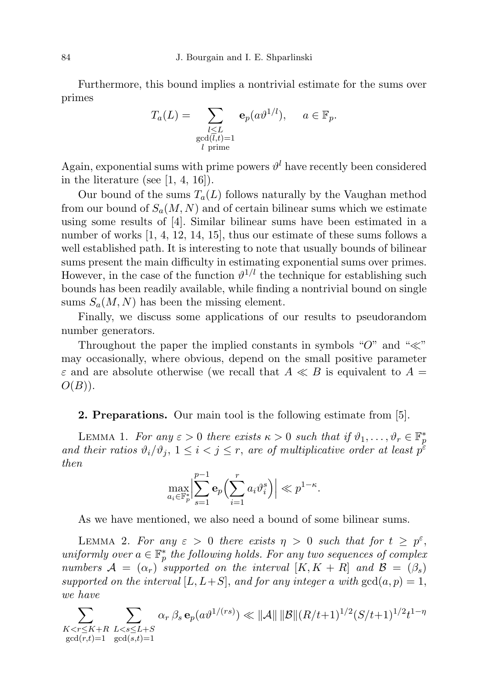Furthermore, this bound implies a nontrivial estimate for the sums over primes

$$
T_a(L) = \sum_{\substack{l \le L \\ \gcd(l,t)=1 \\ l \text{ prime}}} \mathbf{e}_p(a\vartheta^{1/l}), \quad a \in \mathbb{F}_p.
$$

Again, exponential sums with prime powers  $\vartheta^l$  have recently been considered in the literature (see  $[1, 4, 16]$ ).

Our bound of the sums  $T_a(L)$  follows naturally by the Vaughan method from our bound of  $S_a(M, N)$  and of certain bilinear sums which we estimate using some results of [4]. Similar bilinear sums have been estimated in a number of works [1, 4, 12, 14, 15], thus our estimate of these sums follows a well established path. It is interesting to note that usually bounds of bilinear sums present the main difficulty in estimating exponential sums over primes. However, in the case of the function  $\vartheta^{1/l}$  the technique for establishing such bounds has been readily available, while finding a nontrivial bound on single sums  $S_a(M, N)$  has been the missing element.

Finally, we discuss some applications of our results to pseudorandom number generators.

Throughout the paper the implied constants in symbols " $O$ " and " $\ll$ " may occasionally, where obvious, depend on the small positive parameter  $\varepsilon$  and are absolute otherwise (we recall that  $A \ll B$  is equivalent to  $A =$  $O(B)$ ).

## 2. Preparations. Our main tool is the following estimate from [5].

LEMMA 1. For any  $\varepsilon > 0$  there exists  $\kappa > 0$  such that if  $\vartheta_1, \ldots, \vartheta_r \in \mathbb{F}_p^*$ and their ratios  $\vartheta_i/\vartheta_j$ ,  $1 \leq i < j \leq r$ , are of multiplicative order at least  $p^{\varepsilon}$ then

$$
\max_{a_i \in \mathbb{F}_p^*} \left| \sum_{s=1}^{p-1} \mathbf{e}_p \left( \sum_{i=1}^r a_i \vartheta_i^s \right) \right| \ll p^{1-\kappa}.
$$

As we have mentioned, we also need a bound of some bilinear sums.

LEMMA 2. For any  $\varepsilon > 0$  there exists  $\eta > 0$  such that for  $t \geq p^{\varepsilon}$ , uniformly over  $a \in \mathbb{F}_p^*$  the following holds. For any two sequences of complex numbers  $A = (\alpha_r)$  supported on the interval  $[K, K + R]$  and  $\mathcal{B} = (\beta_s)$ supported on the interval  $[L, L+S]$ , and for any integer a with  $gcd(a, p) = 1$ , we have

$$
\sum_{\substack{K < r \leq K+R \\ \gcd(r,t)=1}} \sum_{\substack{L < s \leq L+S \\ \gcd(s,t)=1}} \alpha_r \, \beta_s \, \mathbf{e}_p(a \vartheta^{1/(rs)}) \ll \|\mathcal{A}\| \, \|\mathcal{B}\|(R/t+1)^{1/2}(S/t+1)^{1/2}t^{1-\eta}
$$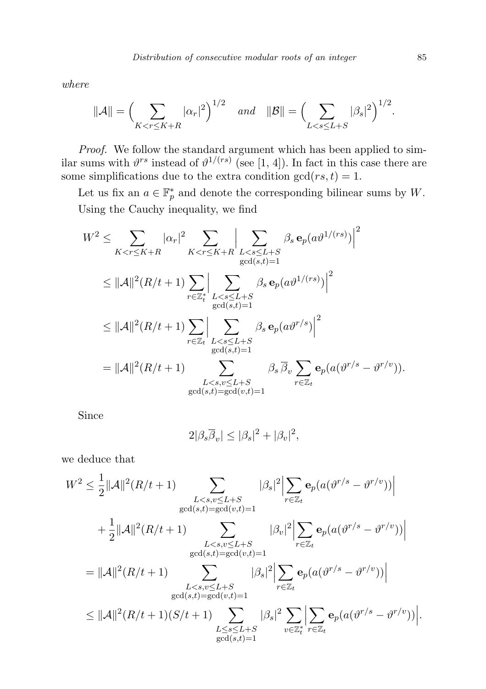where

$$
\|\mathcal{A}\| = \Big(\sum_{K < r \le K + R} |\alpha_r|^2\Big)^{1/2} \quad \text{and} \quad \|\mathcal{B}\| = \Big(\sum_{L < s \le L + S} |\beta_s|^2\Big)^{1/2}.
$$

Proof. We follow the standard argument which has been applied to similar sums with  $\vartheta^{rs}$  instead of  $\vartheta^{1/(rs)}$  (see [1, 4]). In fact in this case there are some simplifications due to the extra condition  $gcd(rs, t) = 1$ .

Let us fix an  $a \in \mathbb{F}_p^*$  and denote the corresponding bilinear sums by W. Using the Cauchy inequality, we find

$$
W^{2} \leq \sum_{K < r \leq K+R} |\alpha_{r}|^{2} \sum_{K < r \leq K+R} \sum_{L < s \leq L+S} \beta_{s} \mathbf{e}_{p}(a\vartheta^{1/(rs)})|^{2}
$$
\n
$$
\leq ||\mathcal{A}||^{2}(R/t+1) \sum_{r \in \mathbb{Z}_{t}^{*}} \sum_{L < s \leq L+S} \beta_{s} \mathbf{e}_{p}(a\vartheta^{1/(rs)})|^{2}
$$
\n
$$
\leq ||\mathcal{A}||^{2}(R/t+1) \sum_{r \in \mathbb{Z}_{t}} \sum_{L < s \leq L+S} \beta_{s} \mathbf{e}_{p}(a\vartheta^{r/s})|^{2}
$$
\n
$$
= ||\mathcal{A}||^{2}(R/t+1) \sum_{L < s \leq L+S} \sum_{\substack{g \text{ odd}(s,t)=1}} \beta_{s} \overline{\beta}_{v} \sum_{r \in \mathbb{Z}_{t}} \mathbf{e}_{p}(a(\vartheta^{r/s}-\vartheta^{r/v})).
$$

Since

$$
2|\beta_s \overline{\beta}_v| \le |\beta_s|^2 + |\beta_v|^2,
$$

we deduce that

$$
W^{2} \leq \frac{1}{2}||\mathcal{A}||^{2}(R/t+1)\sum_{\substack{L  
+ 
$$
\frac{1}{2}||\mathcal{A}||^{2}(R/t+1)\sum_{\substack{L  
= 
$$
||\mathcal{A}||^{2}(R/t+1)\sum_{\substack{L  

$$
\leq ||\mathcal{A}||^{2}(R/t+1)(S/t+1)\sum_{\substack{L\leq s\leq L+S\\ \gcd(s,t)=1}}|\beta_{s}|^{2}\sum_{v\in\mathbb{Z}_{t}^{*}}\left|\sum_{r\in\mathbb{Z}_{t}}\mathbf{e}_{p}(a(\vartheta^{r/s}-\vartheta^{r/v}))\right|
$$
$$
$$
$$

.

2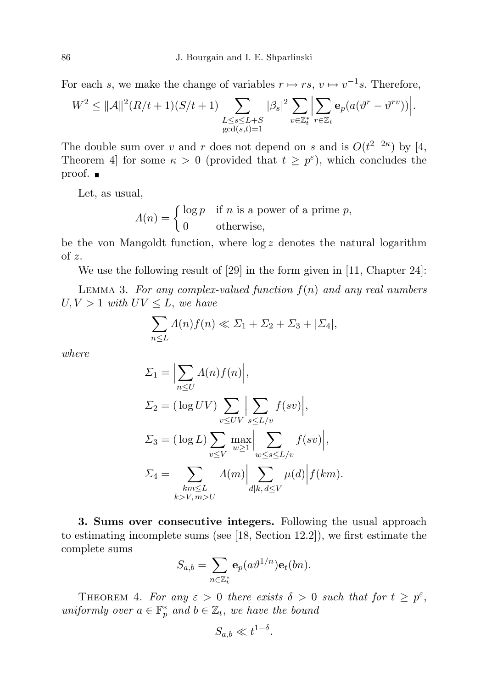For each s, we make the change of variables  $r \mapsto rs$ ,  $v \mapsto v^{-1}s$ . Therefore,

$$
W^2 \leq ||\mathcal{A}||^2 (R/t+1)(S/t+1) \sum_{\substack{L \leq s \leq L+S \\ \gcd(s,t)=1}} |\beta_s|^2 \sum_{v \in \mathbb{Z}_t^*} \left| \sum_{r \in \mathbb{Z}_t} \mathbf{e}_p(a(v^r - \vartheta^{rv})) \right|.
$$

The double sum over v and r does not depend on s and is  $O(t^{2-2\kappa})$  by [4, Theorem 4 for some  $\kappa > 0$  (provided that  $t \geq p^{\varepsilon}$ ), which concludes the proof. ■

Let, as usual,

 $\Lambda(n) = \begin{cases} \log p & \text{if } n \text{ is a power of a prime } p, \\ 0 & \text{otherwise.} \end{cases}$ 0 otherwise,

be the von Mangoldt function, where  $\log z$  denotes the natural logarithm of z.

We use the following result of [29] in the form given in [11, Chapter 24]:

LEMMA 3. For any complex-valued function  $f(n)$  and any real numbers  $U, V > 1$  with  $UV \leq L$ , we have

$$
\sum_{n\leq L} \Lambda(n)f(n) \ll \Sigma_1 + \Sigma_2 + \Sigma_3 + |\Sigma_4|,
$$

where

$$
\Sigma_1 = \Big| \sum_{n \leq U} \Lambda(n) f(n) \Big|,
$$
  
\n
$$
\Sigma_2 = (\log UV) \sum_{v \leq UV} \Big| \sum_{s \leq L/v} f(sv) \Big|,
$$
  
\n
$$
\Sigma_3 = (\log L) \sum_{v \leq V} \max_{w \geq 1} \Big| \sum_{w \leq s \leq L/v} f(sv) \Big|,
$$
  
\n
$$
\Sigma_4 = \sum_{\substack{k m \leq L \\ k > V, m > U}} \Lambda(m) \Big| \sum_{d|k, d \leq V} \mu(d) \Big| f(km).
$$

3. Sums over consecutive integers. Following the usual approach to estimating incomplete sums (see [18, Section 12.2]), we first estimate the complete sums

$$
S_{a,b} = \sum_{n \in \mathbb{Z}_t^*} \mathbf{e}_p(a \vartheta^{1/n}) \mathbf{e}_t(bn).
$$

THEOREM 4. For any  $\varepsilon > 0$  there exists  $\delta > 0$  such that for  $t \geq p^{\varepsilon}$ , uniformly over  $a \in \mathbb{F}_p^*$  and  $b \in \mathbb{Z}_t$ , we have the bound

$$
S_{a,b} \ll t^{1-\delta}.
$$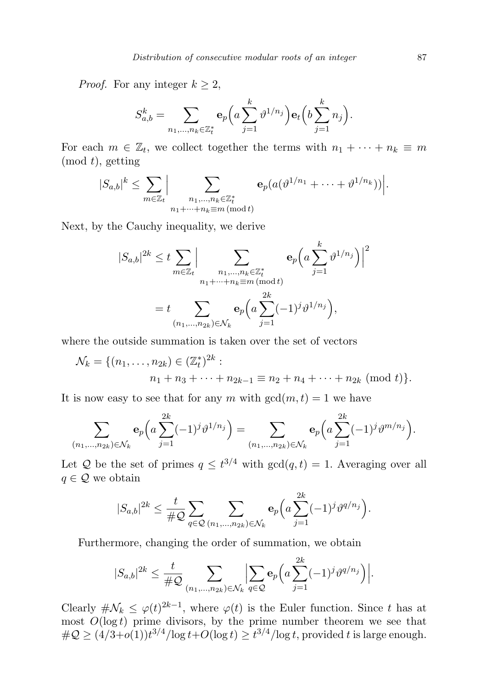*Proof.* For any integer  $k \geq 2$ ,

$$
S_{a,b}^k = \sum_{n_1,...,n_k \in \mathbb{Z}_t^*} \mathbf{e}_p(a \sum_{j=1}^k \vartheta^{1/n_j}) \mathbf{e}_t(b \sum_{j=1}^k n_j).
$$

For each  $m \in \mathbb{Z}_t$ , we collect together the terms with  $n_1 + \cdots + n_k \equiv m$  $(mod t),$  getting

$$
|S_{a,b}|^k \leq \sum_{m \in \mathbb{Z}_t} \Big| \sum_{\substack{n_1,\ldots,n_k \in \mathbb{Z}_t^* \\ n_1+\cdots+n_k \equiv m \, (\text{mod } t)}} \mathbf{e}_p(a(\vartheta^{1/n_1}+\cdots+\vartheta^{1/n_k})) \Big|.
$$

 $\mathbf{r}$ 

Next, by the Cauchy inequality, we derive

$$
|S_{a,b}|^{2k} \leq t \sum_{m \in \mathbb{Z}_t} \Big| \sum_{\substack{n_1, \dots, n_k \in \mathbb{Z}_t^* \\ n_1 + \dots + n_k \equiv m \, (\text{mod } t)}} \mathbf{e}_p \Big( a \sum_{j=1}^k \vartheta^{1/n_j} \Big) \Big|^2
$$
  
=  $t \sum_{(n_1, \dots, n_{2k}) \in \mathcal{N}_k} \mathbf{e}_p \Big( a \sum_{j=1}^{2k} (-1)^j \vartheta^{1/n_j} \Big),$ 

where the outside summation is taken over the set of vectors

$$
\mathcal{N}_k = \{ (n_1, \dots, n_{2k}) \in (\mathbb{Z}_t^*)^{2k} : n_1 + n_3 + \dots + n_{2k-1} \equiv n_2 + n_4 + \dots + n_{2k} \pmod{t} \}.
$$

It is now easy to see that for any m with  $gcd(m, t) = 1$  we have

$$
\sum_{(n_1,\dots,n_{2k})\in\mathcal{N}_k} \mathbf{e}_p\Big(a\sum_{j=1}^{2k}(-1)^j\vartheta^{1/n_j}\Big) = \sum_{(n_1,\dots,n_{2k})\in\mathcal{N}_k} \mathbf{e}_p\Big(a\sum_{j=1}^{2k}(-1)^j\vartheta^{m/n_j}\Big).
$$

Let Q be the set of primes  $q \n\t\leq t^{3/4}$  with  $\gcd(q, t) = 1$ . Averaging over all  $q \in \mathcal{Q}$  we obtain

 $\sim$ <sup>2</sup>

$$
|S_{a,b}|^{2k} \leq \frac{t}{\#\mathcal{Q}} \sum_{q \in \mathcal{Q}} \sum_{(n_1,\ldots,n_{2k}) \in \mathcal{N}_k} \mathbf{e}_p\Big(a \sum_{j=1}^{2k} (-1)^j \vartheta^{q/n_j}\Big).
$$

Furthermore, changing the order of summation, we obtain

$$
|S_{a,b}|^{2k} \leq \frac{t}{\#Q} \sum_{(n_1,...,n_{2k}) \in \mathcal{N}_k} \Big| \sum_{q \in \mathcal{Q}} \mathbf{e}_p \Big( a \sum_{j=1}^{2k} (-1)^j \vartheta^{q/n_j} \Big) \Big|.
$$

Clearly  $\#\mathcal{N}_k \leq \varphi(t)^{2k-1}$ , where  $\varphi(t)$  is the Euler function. Since t has at most  $O(\log t)$  prime divisors, by the prime number theorem we see that  $\#\mathcal{Q} \geq (4/3+o(1))t^{3/4}/\log t + O(\log t) \geq t^{3/4}/\log t$ , provided t is large enough.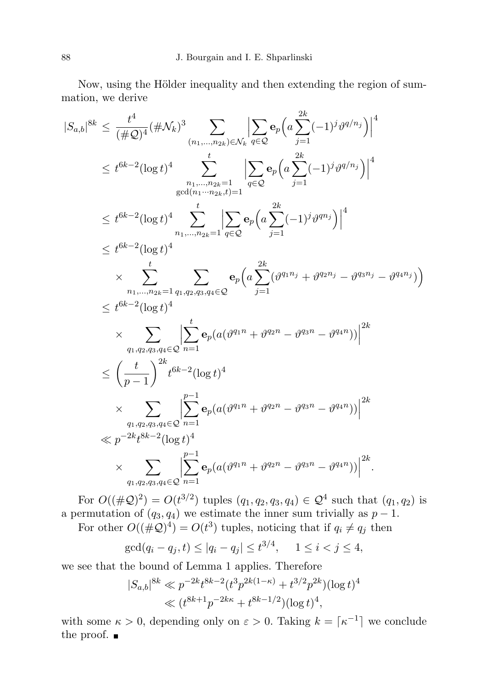Now, using the Hölder inequality and then extending the region of summation, we derive

$$
|S_{a,b}|^{8k} \leq \frac{t^4}{(\#Q)^4} (\#N_k)^3 \sum_{(n_1,...,n_{2k}) \in N_k} \left| \sum_{q \in Q} \mathbf{e}_p \left( a \sum_{j=1}^{2k} (-1)^j \vartheta^{q/n_j} \right) \right|^4
$$
  
\n
$$
\leq t^{6k-2} (\log t)^4 \sum_{\substack{n_1,...,n_{2k}=1 \ \gcd(n_1...n_{2k},t)=1}} t^{6k-2} (\log t)^4 \sum_{n_1,...,n_{2k}=1} t^{6k-2} (\log t)^4
$$
  
\n
$$
\leq t^{6k-2} (\log t)^4 \sum_{n_1,...,n_{2k}=1} t^{6k-2} (\log t)^4
$$
  
\n
$$
\times \sum_{\substack{n_1,...,n_{2k}=1 \ q_1,q_2,q_3,q_4 \in Q}} \mathbf{e}_p \left( a \sum_{j=1}^{2k} (\vartheta^{q_1 n_j} + \vartheta^{q_2 n_j} - \vartheta^{q_3 n_j} - \vartheta^{q_4 n_j}) \right)
$$
  
\n
$$
\leq t^{6k-2} (\log t)^4
$$
  
\n
$$
\times \sum_{\substack{q_1,q_2,q_3,q_4 \in Q}} \left| \sum_{n=1}^t \mathbf{e}_p (a(\vartheta^{q_1 n} + \vartheta^{q_2 n} - \vartheta^{q_3 n} - \vartheta^{q_4 n_j})) \right|^{2k}
$$
  
\n
$$
\leq \left( \frac{t}{p-1} \right)^{2k} t^{6k-2} (\log t)^4
$$
  
\n
$$
\times \sum_{\substack{q_1,q_2,q_3,q_4 \in Q}} \left| \sum_{n=1}^{p-1} \mathbf{e}_p (a(\vartheta^{q_1 n} + \vartheta^{q_2 n} - \vartheta^{q_3 n} - \vartheta^{q_4 n}) ) \right|^{2k}
$$
  
\n
$$
\times \sum_{\substack{q_1,q_2,q_3,q_4 \in Q}} \left| \sum_{n=1}^{p-1} \mathbf{e}_p (a(\vartheta^{q_1 n} + \vartheta^{q_2 n} - \vartheta^{q_3 n} - \vartheta^{q_4 n}) ) \right|^{2k}
$$

For  $O((\#\mathcal{Q})^2) = O(t^{3/2})$  tuples  $(q_1, q_2, q_3, q_4) \in \mathcal{Q}^4$  such that  $(q_1, q_2)$  is a permutation of  $(q_3, q_4)$  we estimate the inner sum trivially as  $p-1$ .

For other  $O((\#\mathcal{Q})^4) = O(t^3)$  tuples, noticing that if  $q_i \neq q_j$  then

$$
\gcd(q_i - q_j, t) \le |q_i - q_j| \le t^{3/4}, \quad 1 \le i < j \le 4,
$$

we see that the bound of Lemma 1 applies. Therefore

$$
|S_{a,b}|^{8k} \ll p^{-2k} t^{8k-2} (t^3 p^{2k(1-\kappa)} + t^{3/2} p^{2k}) (\log t)^4
$$
  

$$
\ll (t^{8k+1} p^{-2k\kappa} + t^{8k-1/2}) (\log t)^4,
$$

with some  $\kappa > 0$ , depending only on  $\varepsilon > 0$ . Taking  $k = \lceil \kappa^{-1} \rceil$  we conclude the proof.  $\blacksquare$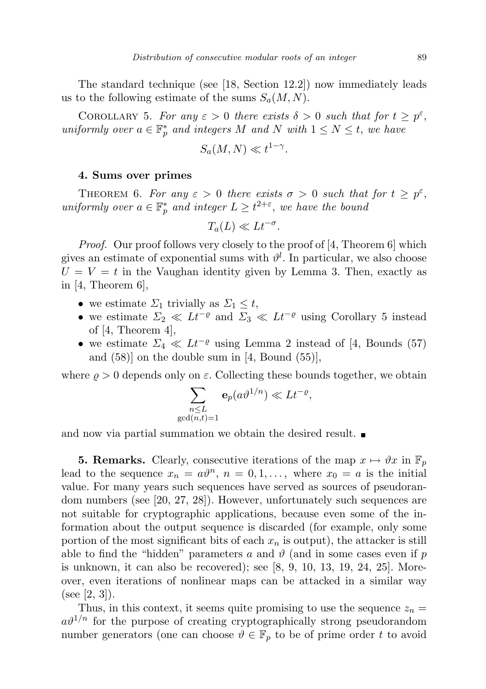The standard technique (see [18, Section 12.2]) now immediately leads us to the following estimate of the sums  $S_a(M, N)$ .

COROLLARY 5. For any  $\varepsilon > 0$  there exists  $\delta > 0$  such that for  $t \geq p^{\varepsilon}$ , uniformly over  $a \in \mathbb{F}_p^*$  and integers M and N with  $1 \leq N \leq t$ , we have

$$
S_a(M, N) \ll t^{1-\gamma}.
$$

## 4. Sums over primes

THEOREM 6. For any  $\varepsilon > 0$  there exists  $\sigma > 0$  such that for  $t \geq p^{\varepsilon}$ , uniformly over  $a \in \mathbb{F}_p^*$  and integer  $L \geq t^{2+\varepsilon}$ , we have the bound

$$
T_a(L) \ll Lt^{-\sigma}.
$$

*Proof.* Our proof follows very closely to the proof of [4, Theorem 6] which gives an estimate of exponential sums with  $\vartheta^l$ . In particular, we also choose  $U = V = t$  in the Vaughan identity given by Lemma 3. Then, exactly as in  $[4,$  Theorem  $6,$ 

- we estimate  $\Sigma_1$  trivially as  $\Sigma_1 \leq t$ ,
- we estimate  $\Sigma_2 \ll Lt^{-\varrho}$  and  $\Sigma_3 \ll Lt^{-\varrho}$  using Corollary 5 instead of  $[4,$  Theorem  $4]$ ,
- we estimate  $\Sigma_4 \ll Lt^{-\varrho}$  using Lemma 2 instead of [4, Bounds (57) and  $(58)$  on the double sum in [4, Bound  $(55)$ ],

where  $\rho > 0$  depends only on  $\varepsilon$ . Collecting these bounds together, we obtain

$$
\sum_{\substack{n \le L \\ \gcd(n,t)=1}} \mathbf{e}_p(a\vartheta^{1/n}) \ll Lt^{-\varrho},
$$

and now via partial summation we obtain the desired result.

**5. Remarks.** Clearly, consecutive iterations of the map  $x \mapsto \vartheta x$  in  $\mathbb{F}_p$ lead to the sequence  $x_n = a\vartheta^n$ ,  $n = 0, 1, \ldots$ , where  $x_0 = a$  is the initial value. For many years such sequences have served as sources of pseudorandom numbers (see [20, 27, 28]). However, unfortunately such sequences are not suitable for cryptographic applications, because even some of the information about the output sequence is discarded (for example, only some portion of the most significant bits of each  $x_n$  is output), the attacker is still able to find the "hidden" parameters a and  $\vartheta$  (and in some cases even if p is unknown, it can also be recovered); see [8, 9, 10, 13, 19, 24, 25]. Moreover, even iterations of nonlinear maps can be attacked in a similar way (see [2, 3]).

Thus, in this context, it seems quite promising to use the sequence  $z_n =$  $a\vartheta^{1/n}$  for the purpose of creating cryptographically strong pseudorandom number generators (one can choose  $\vartheta \in \mathbb{F}_p$  to be of prime order t to avoid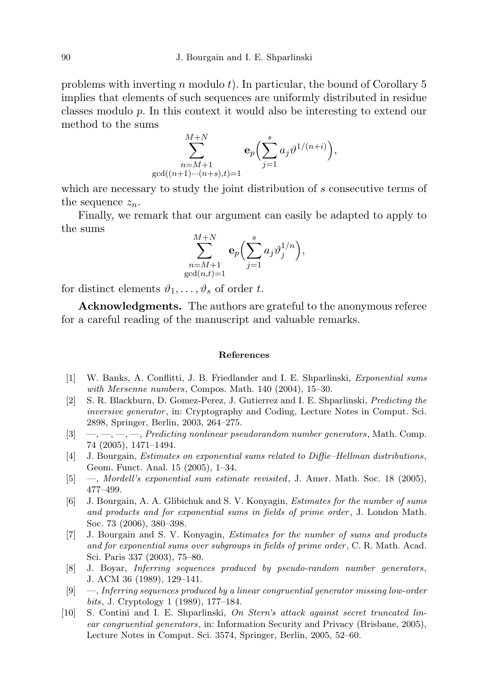problems with inverting n modulo t). In particular, the bound of Corollary  $5$ implies that elements of such sequences are uniformly distributed in residue classes modulo p. In this context it would also be interesting to extend our method to the sums

$$
\sum_{\substack{n=M+1 \ \gcd((n+1)\cdots(n+s),t)=1}}^{M+N} \mathbf{e}_p\Bigl(\sum_{j=1}^s a_j \vartheta^{1/(n+i)}\Bigr),
$$

which are necessary to study the joint distribution of s consecutive terms of the sequence  $z_n$ .

Finally, we remark that our argument can easily be adapted to apply to the sums

$$
\sum_{\substack{n=M+1 \ \gcd(n,t)=1}}^{M+N} \mathbf{e}_p \Bigl( \sum_{j=1}^s a_j \vartheta_j^{1/n} \Bigr),
$$

for distinct elements  $\vartheta_1, \ldots, \vartheta_s$  of order t.

Acknowledgments. The authors are grateful to the anonymous referee for a careful reading of the manuscript and valuable remarks.

## References

- [1] W. Banks, A. Conflitti, J. B. Friedlander and I. E. Shparlinski, Exponential sums with Mersenne numbers, Compos. Math. 140 (2004), 15–30.
- [2] S. R. Blackburn, D. Gomez-Perez, J. Gutierrez and I. E. Shparlinski, Predicting the inversive generator, in: Cryptography and Coding, Lecture Notes in Comput. Sci. 2898, Springer, Berlin, 2003, 264–275.
- $[3] \quad , \quad , \quad , \quad , \quad \text{Predicting nonlinear pseudorandom number generators, Math. Comp.}$ 74 (2005), 1471–1494.
- [4] J. Bourgain, *Estimates on exponential sums related to Diffie–Hellman distributions*, Geom. Funct. Anal. 15 (2005), 1–34.
- [5] —, Mordell's exponential sum estimate revisited, J. Amer. Math. Soc. 18 (2005), 477–499.
- [6] J. Bourgain, A. A. Glibichuk and S. V. Konyagin, Estimates for the number of sums and products and for exponential sums in fields of prime order , J. London Math. Soc. 73 (2006), 380–398.
- [7] J. Bourgain and S. V. Konyagin, Estimates for the number of sums and products and for exponential sums over subgroups in fields of prime order , C. R. Math. Acad. Sci. Paris 337 (2003), 75–80.
- [8] J. Boyar, Inferring sequences produced by pseudo-random number generators , J. ACM 36 (1989), 129–141.
- [9] —, Inferring sequences produced by a linear congruential generator missing low-order bits, J. Cryptology 1 (1989), 177–184.
- [10] S. Contini and I. E. Shparlinski, On Stern's attack against secret truncated linear congruential generators, in: Information Security and Privacy (Brisbane, 2005), Lecture Notes in Comput. Sci. 3574, Springer, Berlin, 2005, 52–60.